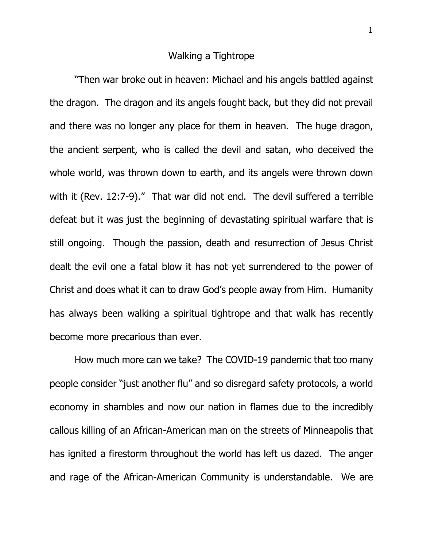## Walking a Tightrope

"Then war broke out in heaven: Michael and his angels battled against the dragon. The dragon and its angels fought back, but they did not prevail and there was no longer any place for them in heaven. The huge dragon, the ancient serpent, who is called the devil and satan, who deceived the whole world, was thrown down to earth, and its angels were thrown down with it (Rev. 12:7-9)." That war did not end. The devil suffered a terrible defeat but it was just the beginning of devastating spiritual warfare that is still ongoing. Though the passion, death and resurrection of Jesus Christ dealt the evil one a fatal blow it has not yet surrendered to the power of Christ and does what it can to draw God's people away from Him. Humanity has always been walking a spiritual tightrope and that walk has recently become more precarious than ever.

How much more can we take? The COVID-19 pandemic that too many people consider "just another flu" and so disregard safety protocols, a world economy in shambles and now our nation in flames due to the incredibly callous killing of an African-American man on the streets of Minneapolis that has ignited a firestorm throughout the world has left us dazed. The anger and rage of the African-American Community is understandable. We are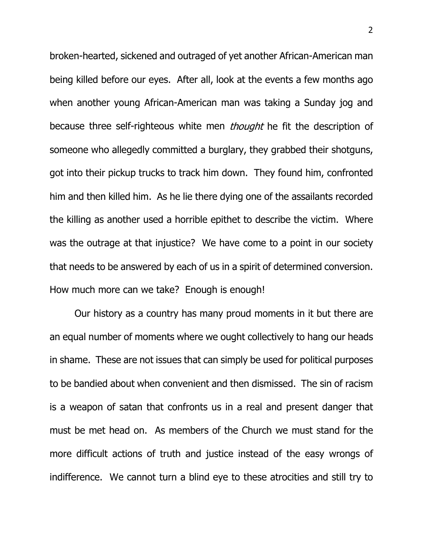broken-hearted, sickened and outraged of yet another African-American man being killed before our eyes. After all, look at the events a few months ago when another young African-American man was taking a Sunday jog and because three self-righteous white men *thought* he fit the description of someone who allegedly committed a burglary, they grabbed their shotguns, got into their pickup trucks to track him down. They found him, confronted him and then killed him. As he lie there dying one of the assailants recorded the killing as another used a horrible epithet to describe the victim. Where was the outrage at that injustice? We have come to a point in our society that needs to be answered by each of us in a spirit of determined conversion. How much more can we take? Enough is enough!

Our history as a country has many proud moments in it but there are an equal number of moments where we ought collectively to hang our heads in shame. These are not issues that can simply be used for political purposes to be bandied about when convenient and then dismissed. The sin of racism is a weapon of satan that confronts us in a real and present danger that must be met head on. As members of the Church we must stand for the more difficult actions of truth and justice instead of the easy wrongs of indifference. We cannot turn a blind eye to these atrocities and still try to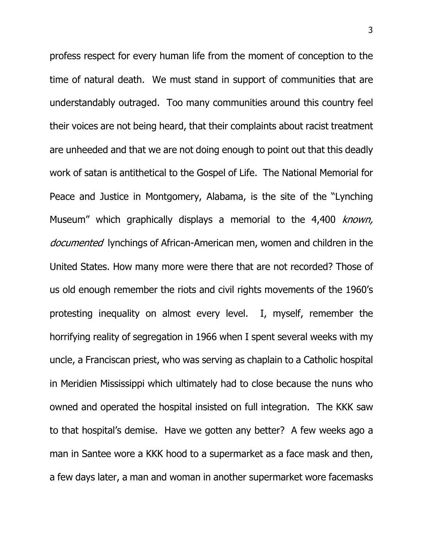profess respect for every human life from the moment of conception to the time of natural death. We must stand in support of communities that are understandably outraged. Too many communities around this country feel their voices are not being heard, that their complaints about racist treatment are unheeded and that we are not doing enough to point out that this deadly work of satan is antithetical to the Gospel of Life. The National Memorial for Peace and Justice in Montgomery, Alabama, is the site of the "Lynching Museum" which graphically displays a memorial to the 4,400 known, documented lynchings of African-American men, women and children in the United States. How many more were there that are not recorded? Those of us old enough remember the riots and civil rights movements of the 1960's protesting inequality on almost every level. I, myself, remember the horrifying reality of segregation in 1966 when I spent several weeks with my uncle, a Franciscan priest, who was serving as chaplain to a Catholic hospital in Meridien Mississippi which ultimately had to close because the nuns who owned and operated the hospital insisted on full integration. The KKK saw to that hospital's demise. Have we gotten any better? A few weeks ago a man in Santee wore a KKK hood to a supermarket as a face mask and then, a few days later, a man and woman in another supermarket wore facemasks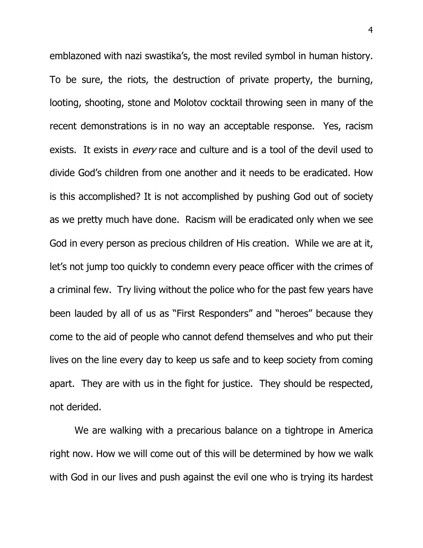emblazoned with nazi swastika's, the most reviled symbol in human history. To be sure, the riots, the destruction of private property, the burning, looting, shooting, stone and Molotov cocktail throwing seen in many of the recent demonstrations is in no way an acceptable response. Yes, racism exists. It exists in *every* race and culture and is a tool of the devil used to divide God's children from one another and it needs to be eradicated. How is this accomplished? It is not accomplished by pushing God out of society as we pretty much have done. Racism will be eradicated only when we see God in every person as precious children of His creation. While we are at it, let's not jump too quickly to condemn every peace officer with the crimes of a criminal few. Try living without the police who for the past few years have been lauded by all of us as "First Responders" and "heroes" because they come to the aid of people who cannot defend themselves and who put their lives on the line every day to keep us safe and to keep society from coming apart. They are with us in the fight for justice. They should be respected, not derided.

We are walking with a precarious balance on a tightrope in America right now. How we will come out of this will be determined by how we walk with God in our lives and push against the evil one who is trying its hardest